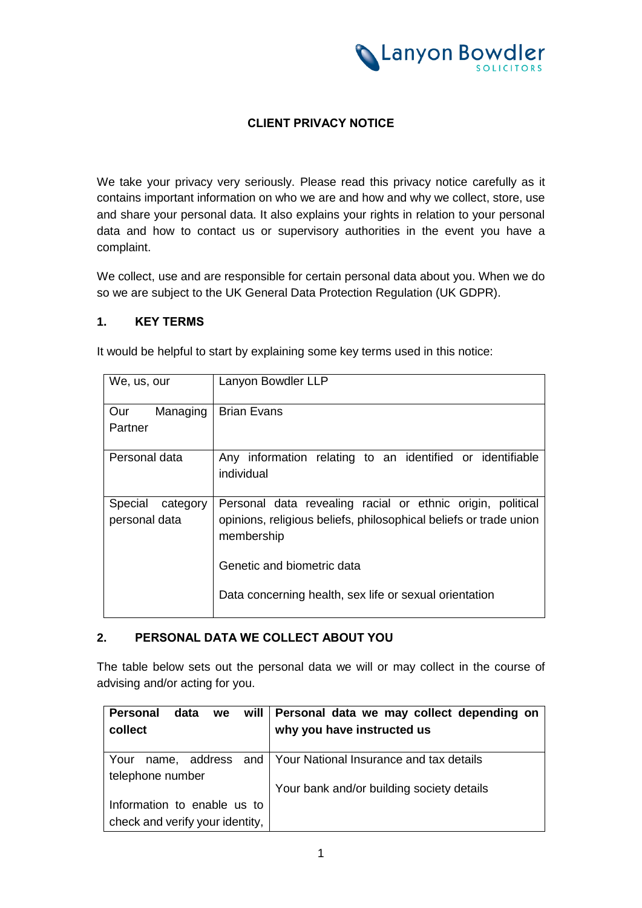

### **CLIENT PRIVACY NOTICE**

We take your privacy very seriously. Please read this privacy notice carefully as it contains important information on who we are and how and why we collect, store, use and share your personal data. It also explains your rights in relation to your personal data and how to contact us or supervisory authorities in the event you have a complaint.

We collect, use and are responsible for certain personal data about you. When we do so we are subject to the UK General Data Protection Regulation (UK GDPR).

### **1. KEY TERMS**

It would be helpful to start by explaining some key terms used in this notice:

| We, us, our         | Lanyon Bowdler LLP                                                              |
|---------------------|---------------------------------------------------------------------------------|
| Managing<br>Our     | <b>Brian Evans</b>                                                              |
| Partner             |                                                                                 |
| Personal data       | Any information relating to an identified or identifiable<br>individual         |
| Special<br>category | Personal data revealing racial or ethnic origin, political                      |
| personal data       | opinions, religious beliefs, philosophical beliefs or trade union<br>membership |
|                     | Genetic and biometric data                                                      |
|                     | Data concerning health, sex life or sexual orientation                          |

### **2. PERSONAL DATA WE COLLECT ABOUT YOU**

The table below sets out the personal data we will or may collect in the course of advising and/or acting for you.

| will  <br>data<br>Personal<br>we | Personal data we may collect depending on                   |
|----------------------------------|-------------------------------------------------------------|
| collect                          | why you have instructed us                                  |
|                                  |                                                             |
| Your                             | name, address and   Your National Insurance and tax details |
| telephone number                 |                                                             |
|                                  | Your bank and/or building society details                   |
| Information to enable us to      |                                                             |
| check and verify your identity,  |                                                             |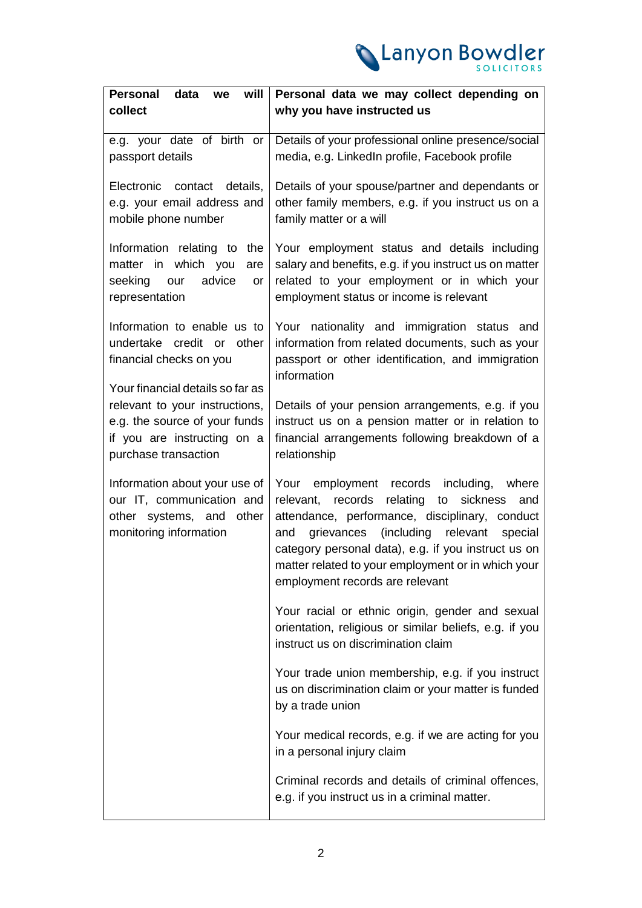

| <b>Personal</b><br>data<br>will<br>we                                                                                                                      | Personal data we may collect depending on                                                                                                                                                                                                                                                                                                                      |
|------------------------------------------------------------------------------------------------------------------------------------------------------------|----------------------------------------------------------------------------------------------------------------------------------------------------------------------------------------------------------------------------------------------------------------------------------------------------------------------------------------------------------------|
| collect                                                                                                                                                    | why you have instructed us                                                                                                                                                                                                                                                                                                                                     |
| e.g. your date of birth or<br>passport details                                                                                                             | Details of your professional online presence/social<br>media, e.g. LinkedIn profile, Facebook profile                                                                                                                                                                                                                                                          |
| Electronic<br>contact<br>details,<br>e.g. your email address and<br>mobile phone number                                                                    | Details of your spouse/partner and dependants or<br>other family members, e.g. if you instruct us on a<br>family matter or a will                                                                                                                                                                                                                              |
| Information relating to<br>the<br>matter in which you<br>are<br>advice<br>seeking<br>our<br>or<br>representation                                           | Your employment status and details including<br>salary and benefits, e.g. if you instruct us on matter<br>related to your employment or in which your<br>employment status or income is relevant                                                                                                                                                               |
| Information to enable us to<br>undertake credit or<br>other<br>financial checks on you                                                                     | Your nationality and immigration status and<br>information from related documents, such as your<br>passport or other identification, and immigration<br>information                                                                                                                                                                                            |
| Your financial details so far as<br>relevant to your instructions,<br>e.g. the source of your funds<br>if you are instructing on a<br>purchase transaction | Details of your pension arrangements, e.g. if you<br>instruct us on a pension matter or in relation to<br>financial arrangements following breakdown of a<br>relationship                                                                                                                                                                                      |
| Information about your use of<br>our IT, communication and<br>other systems, and<br>other<br>monitoring information                                        | Your<br>employment records including,<br>where<br>relating<br>relevant, records<br>to sickness<br>and<br>attendance, performance, disciplinary, conduct<br>(including relevant<br>grievances<br>special<br>and<br>category personal data), e.g. if you instruct us on<br>matter related to your employment or in which your<br>employment records are relevant |
|                                                                                                                                                            | Your racial or ethnic origin, gender and sexual<br>orientation, religious or similar beliefs, e.g. if you<br>instruct us on discrimination claim                                                                                                                                                                                                               |
|                                                                                                                                                            | Your trade union membership, e.g. if you instruct<br>us on discrimination claim or your matter is funded<br>by a trade union                                                                                                                                                                                                                                   |
|                                                                                                                                                            | Your medical records, e.g. if we are acting for you<br>in a personal injury claim                                                                                                                                                                                                                                                                              |
|                                                                                                                                                            | Criminal records and details of criminal offences,<br>e.g. if you instruct us in a criminal matter.                                                                                                                                                                                                                                                            |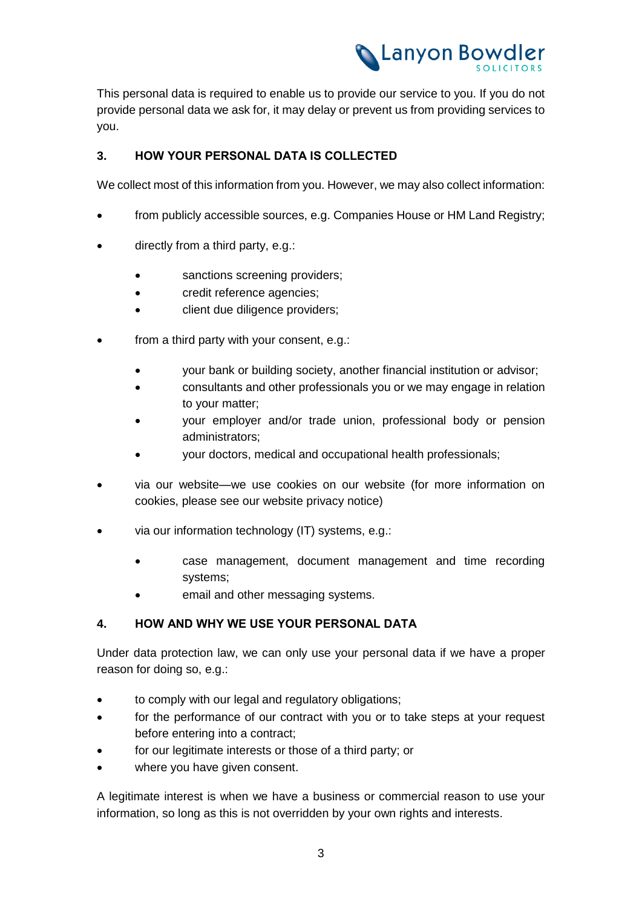

This personal data is required to enable us to provide our service to you. If you do not provide personal data we ask for, it may delay or prevent us from providing services to you.

### **3. HOW YOUR PERSONAL DATA IS COLLECTED**

We collect most of this information from you. However, we may also collect information:

- from publicly accessible sources, e.g. Companies House or HM Land Registry;
- directly from a third party, e.g.:
	- sanctions screening providers;
	- credit reference agencies;
	- client due diligence providers;
- from a third party with your consent, e.g.:
	- your bank or building society, another financial institution or advisor;
	- consultants and other professionals you or we may engage in relation to your matter;
	- your employer and/or trade union, professional body or pension administrators;
	- your doctors, medical and occupational health professionals;
- via our website—we use cookies on our website (for more information on cookies, please see our website privacy notice)
- via our information technology (IT) systems, e.g.:
	- case management, document management and time recording systems;
	- email and other messaging systems.

### **4. HOW AND WHY WE USE YOUR PERSONAL DATA**

Under data protection law, we can only use your personal data if we have a proper reason for doing so, e.g.:

- to comply with our legal and regulatory obligations;
- for the performance of our contract with you or to take steps at your request before entering into a contract;
- for our legitimate interests or those of a third party; or
- where you have given consent.

A legitimate interest is when we have a business or commercial reason to use your information, so long as this is not overridden by your own rights and interests.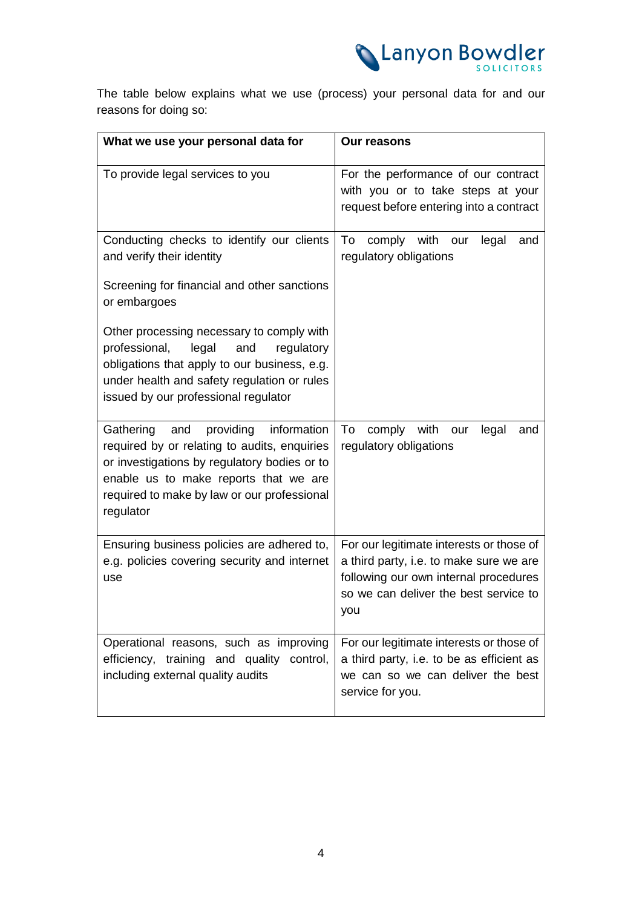

The table below explains what we use (process) your personal data for and our reasons for doing so:

| What we use your personal data for                                                                                                                                                                                                                | <b>Our reasons</b>                                                                                                                                                           |
|---------------------------------------------------------------------------------------------------------------------------------------------------------------------------------------------------------------------------------------------------|------------------------------------------------------------------------------------------------------------------------------------------------------------------------------|
| To provide legal services to you                                                                                                                                                                                                                  | For the performance of our contract<br>with you or to take steps at your<br>request before entering into a contract                                                          |
| Conducting checks to identify our clients<br>and verify their identity                                                                                                                                                                            | To<br>comply with<br>our<br>legal<br>and<br>regulatory obligations                                                                                                           |
| Screening for financial and other sanctions<br>or embargoes                                                                                                                                                                                       |                                                                                                                                                                              |
| Other processing necessary to comply with<br>professional,<br>legal<br>and<br>regulatory<br>obligations that apply to our business, e.g.<br>under health and safety regulation or rules<br>issued by our professional regulator                   |                                                                                                                                                                              |
| Gathering<br>providing<br>information<br>and<br>required by or relating to audits, enquiries<br>or investigations by regulatory bodies or to<br>enable us to make reports that we are<br>required to make by law or our professional<br>regulator | To<br>comply with<br>legal<br>our<br>and<br>regulatory obligations                                                                                                           |
| Ensuring business policies are adhered to,<br>e.g. policies covering security and internet<br>use                                                                                                                                                 | For our legitimate interests or those of<br>a third party, i.e. to make sure we are<br>following our own internal procedures<br>so we can deliver the best service to<br>you |
| Operational reasons, such as improving<br>efficiency, training and quality control,<br>including external quality audits                                                                                                                          | For our legitimate interests or those of<br>a third party, i.e. to be as efficient as<br>we can so we can deliver the best<br>service for you.                               |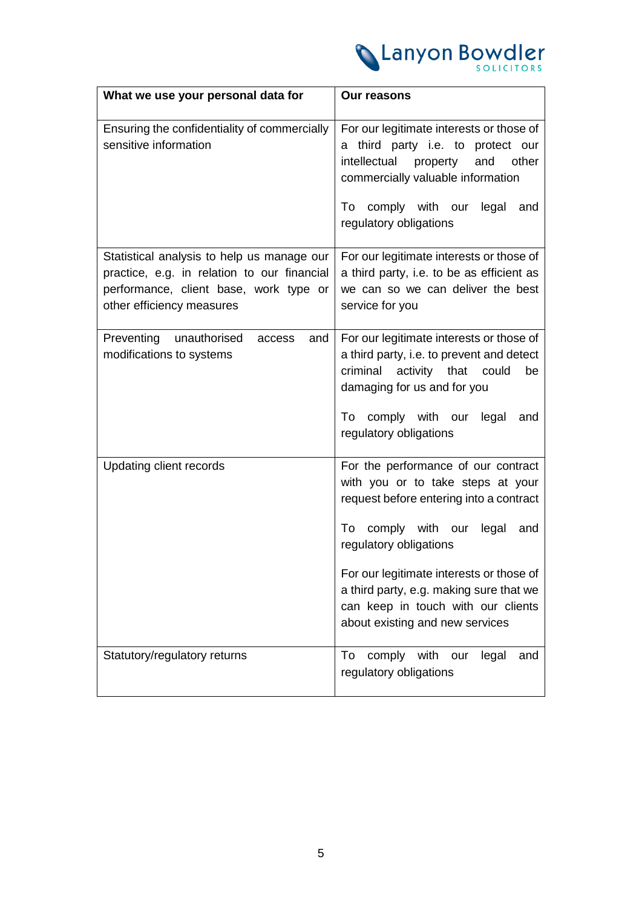

| What we use your personal data for                                                                                                                               | <b>Our reasons</b>                                                                                                                                                                                                                                                                                                                                     |
|------------------------------------------------------------------------------------------------------------------------------------------------------------------|--------------------------------------------------------------------------------------------------------------------------------------------------------------------------------------------------------------------------------------------------------------------------------------------------------------------------------------------------------|
| Ensuring the confidentiality of commercially<br>sensitive information                                                                                            | For our legitimate interests or those of<br>a third party i.e. to protect our<br>intellectual<br>property and<br>other<br>commercially valuable information                                                                                                                                                                                            |
|                                                                                                                                                                  | comply with our legal<br>To<br>and<br>regulatory obligations                                                                                                                                                                                                                                                                                           |
| Statistical analysis to help us manage our<br>practice, e.g. in relation to our financial<br>performance, client base, work type or<br>other efficiency measures | For our legitimate interests or those of<br>a third party, i.e. to be as efficient as<br>we can so we can deliver the best<br>service for you                                                                                                                                                                                                          |
| Preventing<br>unauthorised<br>access<br>and<br>modifications to systems                                                                                          | For our legitimate interests or those of<br>a third party, i.e. to prevent and detect<br>criminal<br>activity that<br>could<br>be<br>damaging for us and for you<br>comply with our legal<br>To<br>and<br>regulatory obligations                                                                                                                       |
| Updating client records                                                                                                                                          | For the performance of our contract<br>with you or to take steps at your<br>request before entering into a contract<br>comply with our<br>To<br>legal<br>and<br>regulatory obligations<br>For our legitimate interests or those of<br>a third party, e.g. making sure that we<br>can keep in touch with our clients<br>about existing and new services |
| Statutory/regulatory returns                                                                                                                                     | To<br>comply with<br>legal<br>our<br>and<br>regulatory obligations                                                                                                                                                                                                                                                                                     |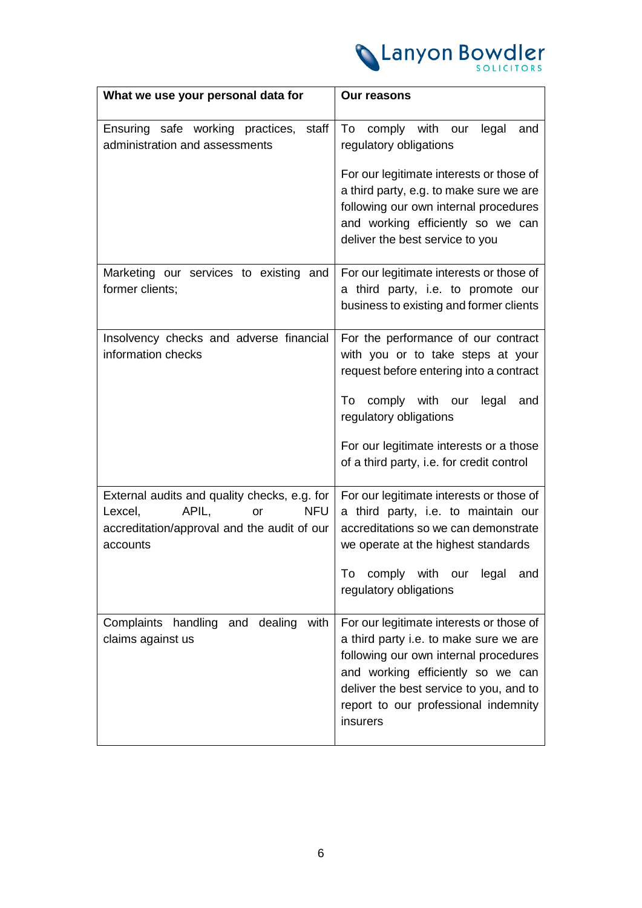

| What we use your personal data for                                                                                                              | <b>Our reasons</b>                                                                                                                                                                                                                                                             |
|-------------------------------------------------------------------------------------------------------------------------------------------------|--------------------------------------------------------------------------------------------------------------------------------------------------------------------------------------------------------------------------------------------------------------------------------|
| Ensuring safe working practices,<br>staff<br>administration and assessments                                                                     | To<br>comply with our<br>legal<br>and<br>regulatory obligations<br>For our legitimate interests or those of<br>a third party, e.g. to make sure we are<br>following our own internal procedures<br>and working efficiently so we can<br>deliver the best service to you        |
| Marketing our services to existing and<br>former clients;                                                                                       | For our legitimate interests or those of<br>a third party, i.e. to promote our<br>business to existing and former clients                                                                                                                                                      |
| Insolvency checks and adverse financial<br>information checks                                                                                   | For the performance of our contract<br>with you or to take steps at your<br>request before entering into a contract<br>comply with our<br>To<br>legal<br>and<br>regulatory obligations<br>For our legitimate interests or a those<br>of a third party, i.e. for credit control |
| External audits and quality checks, e.g. for<br>APIL,<br><b>NFU</b><br>Lexcel,<br>or<br>accreditation/approval and the audit of our<br>accounts | For our legitimate interests or those of<br>a third party, i.e. to maintain our<br>accreditations so we can demonstrate<br>we operate at the highest standards<br>comply with our legal<br>To<br>and<br>regulatory obligations                                                 |
| Complaints handling and dealing<br>with<br>claims against us                                                                                    | For our legitimate interests or those of<br>a third party i.e. to make sure we are<br>following our own internal procedures<br>and working efficiently so we can<br>deliver the best service to you, and to<br>report to our professional indemnity<br>insurers                |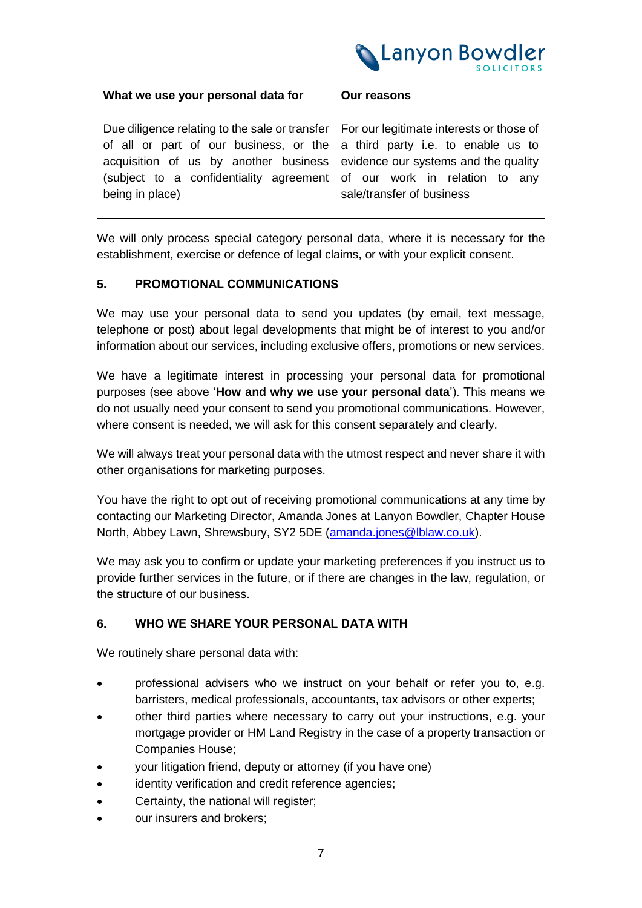

| What we use your personal data for                                                                                                                                                                                                                                                                                 | <b>Our reasons</b>                                          |
|--------------------------------------------------------------------------------------------------------------------------------------------------------------------------------------------------------------------------------------------------------------------------------------------------------------------|-------------------------------------------------------------|
| Due diligence relating to the sale or transfer   For our legitimate interests or those of<br>of all or part of our business, or the a third party i.e. to enable us to<br>acquisition of us by another business evidence our systems and the quality<br>(subject to a confidentiality agreement<br>being in place) | of our work in relation to any<br>sale/transfer of business |

We will only process special category personal data, where it is necessary for the establishment, exercise or defence of legal claims, or with your explicit consent.

# **5. PROMOTIONAL COMMUNICATIONS**

We may use your personal data to send you updates (by email, text message, telephone or post) about legal developments that might be of interest to you and/or information about our services, including exclusive offers, promotions or new services.

We have a legitimate interest in processing your personal data for promotional purposes (see above '**How and why we use your personal data**'). This means we do not usually need your consent to send you promotional communications. However, where consent is needed, we will ask for this consent separately and clearly.

We will always treat your personal data with the utmost respect and never share it with other organisations for marketing purposes.

You have the right to opt out of receiving promotional communications at any time by contacting our Marketing Director, Amanda Jones at Lanyon Bowdler, Chapter House North, Abbey Lawn, Shrewsbury, SY2 5DE [\(amanda.jones@lblaw.co.uk\)](mailto:amanda.jones@lblaw.co.uk).

We may ask you to confirm or update your marketing preferences if you instruct us to provide further services in the future, or if there are changes in the law, regulation, or the structure of our business.

### **6. WHO WE SHARE YOUR PERSONAL DATA WITH**

We routinely share personal data with:

- professional advisers who we instruct on your behalf or refer you to, e.g. barristers, medical professionals, accountants, tax advisors or other experts;
- other third parties where necessary to carry out your instructions, e.g. your mortgage provider or HM Land Registry in the case of a property transaction or Companies House;
- your litigation friend, deputy or attorney (if you have one)
- identity verification and credit reference agencies;
- Certainty, the national will register;
- our insurers and brokers;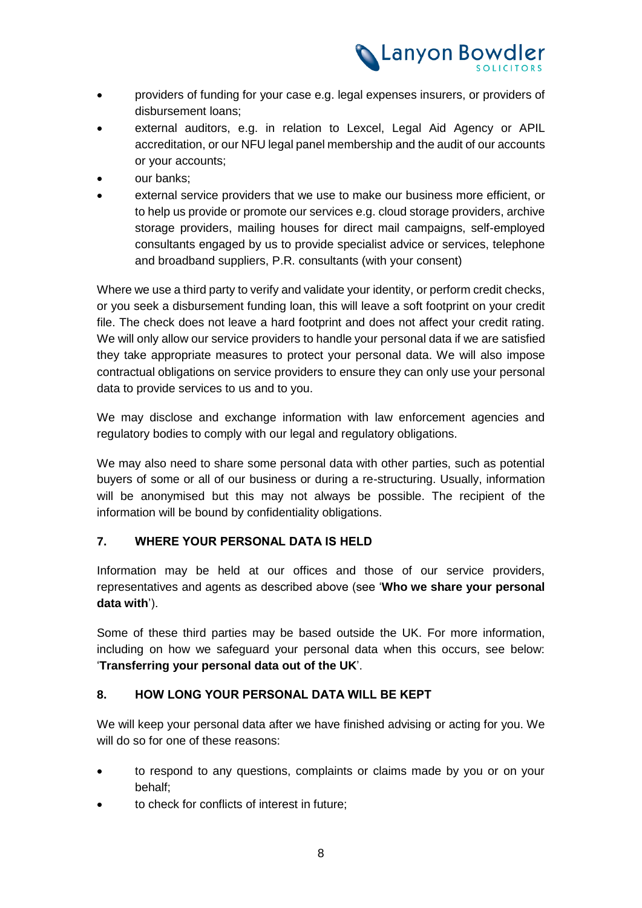

- providers of funding for your case e.g. legal expenses insurers, or providers of disbursement loans;
- external auditors, e.g. in relation to Lexcel, Legal Aid Agency or APIL accreditation, or our NFU legal panel membership and the audit of our accounts or your accounts;
- our banks;
- external service providers that we use to make our business more efficient, or to help us provide or promote our services e.g. cloud storage providers, archive storage providers, mailing houses for direct mail campaigns, self-employed consultants engaged by us to provide specialist advice or services, telephone and broadband suppliers, P.R. consultants (with your consent)

Where we use a third party to verify and validate your identity, or perform credit checks, or you seek a disbursement funding loan, this will leave a soft footprint on your credit file. The check does not leave a hard footprint and does not affect your credit rating. We will only allow our service providers to handle your personal data if we are satisfied they take appropriate measures to protect your personal data. We will also impose contractual obligations on service providers to ensure they can only use your personal data to provide services to us and to you.

We may disclose and exchange information with law enforcement agencies and regulatory bodies to comply with our legal and regulatory obligations.

We may also need to share some personal data with other parties, such as potential buyers of some or all of our business or during a re-structuring. Usually, information will be anonymised but this may not always be possible. The recipient of the information will be bound by confidentiality obligations.

# **7. WHERE YOUR PERSONAL DATA IS HELD**

Information may be held at our offices and those of our service providers, representatives and agents as described above (see '**Who we share your personal data with**').

Some of these third parties may be based outside the UK. For more information, including on how we safeguard your personal data when this occurs, see below: '**Transferring your personal data out of the UK**'.

### **8. HOW LONG YOUR PERSONAL DATA WILL BE KEPT**

We will keep your personal data after we have finished advising or acting for you. We will do so for one of these reasons:

- to respond to any questions, complaints or claims made by you or on your behalf;
- to check for conflicts of interest in future;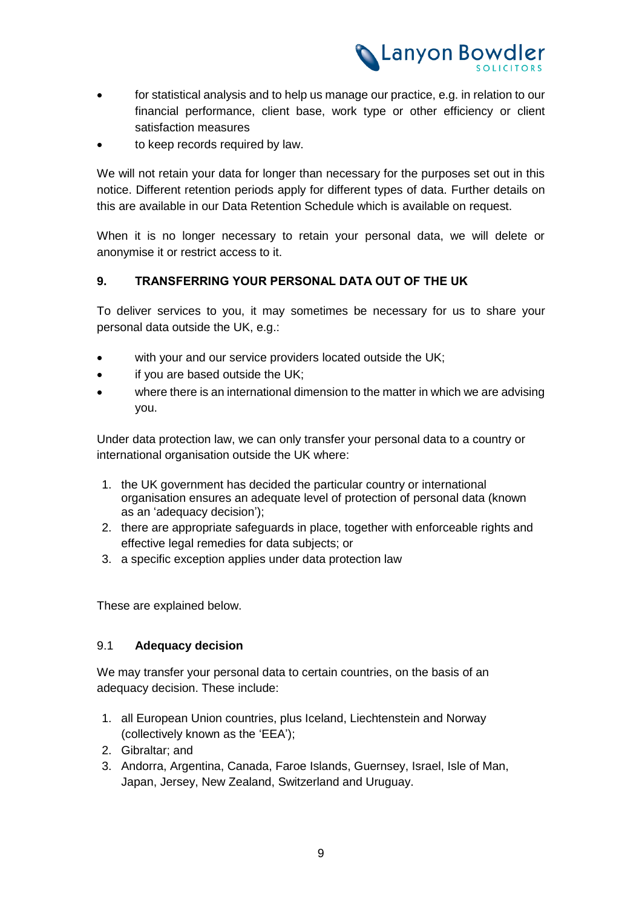

- for statistical analysis and to help us manage our practice, e.g. in relation to our financial performance, client base, work type or other efficiency or client satisfaction measures
- to keep records required by law.

We will not retain your data for longer than necessary for the purposes set out in this notice. Different retention periods apply for different types of data. Further details on this are available in our Data Retention Schedule which is available on request.

When it is no longer necessary to retain your personal data, we will delete or anonymise it or restrict access to it.

# **9. TRANSFERRING YOUR PERSONAL DATA OUT OF THE UK**

To deliver services to you, it may sometimes be necessary for us to share your personal data outside the UK, e.g.:

- with your and our service providers located outside the UK;
- if you are based outside the UK;
- where there is an international dimension to the matter in which we are advising you.

Under data protection law, we can only transfer your personal data to a country or international organisation outside the UK where:

- 1. the UK government has decided the particular country or international organisation ensures an adequate level of protection of personal data (known as an 'adequacy decision');
- 2. there are appropriate safeguards in place, together with enforceable rights and effective legal remedies for data subjects; or
- 3. a specific exception applies under data protection law

These are explained below.

### 9.1 **Adequacy decision**

We may transfer your personal data to certain countries, on the basis of an adequacy decision. These include:

- 1. all European Union countries, plus Iceland, Liechtenstein and Norway (collectively known as the 'EEA');
- 2. Gibraltar; and
- 3. Andorra, Argentina, Canada, Faroe Islands, Guernsey, Israel, Isle of Man, Japan, Jersey, New Zealand, Switzerland and Uruguay.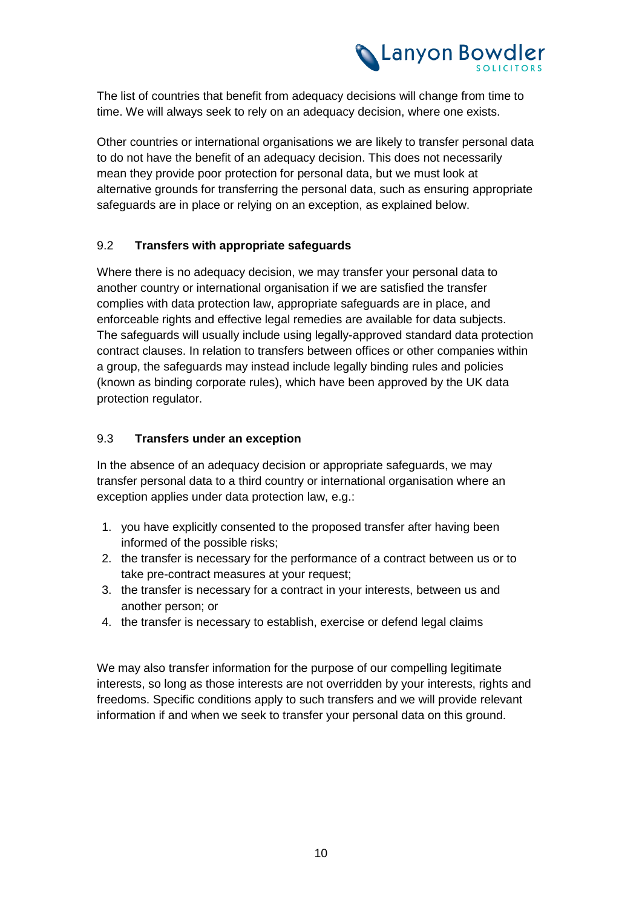

The list of countries that benefit from adequacy decisions will change from time to time. We will always seek to rely on an adequacy decision, where one exists.

Other countries or international organisations we are likely to transfer personal data to do not have the benefit of an adequacy decision. This does not necessarily mean they provide poor protection for personal data, but we must look at alternative grounds for transferring the personal data, such as ensuring appropriate safeguards are in place or relying on an exception, as explained below.

### 9.2 **Transfers with appropriate safeguards**

Where there is no adequacy decision, we may transfer your personal data to another country or international organisation if we are satisfied the transfer complies with data protection law, appropriate safeguards are in place, and enforceable rights and effective legal remedies are available for data subjects. The safeguards will usually include using legally-approved standard data protection contract clauses. In relation to transfers between offices or other companies within a group, the safeguards may instead include legally binding rules and policies (known as binding corporate rules), which have been approved by the UK data protection regulator.

# 9.3 **Transfers under an exception**

In the absence of an adequacy decision or appropriate safeguards, we may transfer personal data to a third country or international organisation where an exception applies under data protection law, e.g.:

- 1. you have explicitly consented to the proposed transfer after having been informed of the possible risks;
- 2. the transfer is necessary for the performance of a contract between us or to take pre-contract measures at your request;
- 3. the transfer is necessary for a contract in your interests, between us and another person; or
- 4. the transfer is necessary to establish, exercise or defend legal claims

We may also transfer information for the purpose of our compelling legitimate interests, so long as those interests are not overridden by your interests, rights and freedoms. Specific conditions apply to such transfers and we will provide relevant information if and when we seek to transfer your personal data on this ground.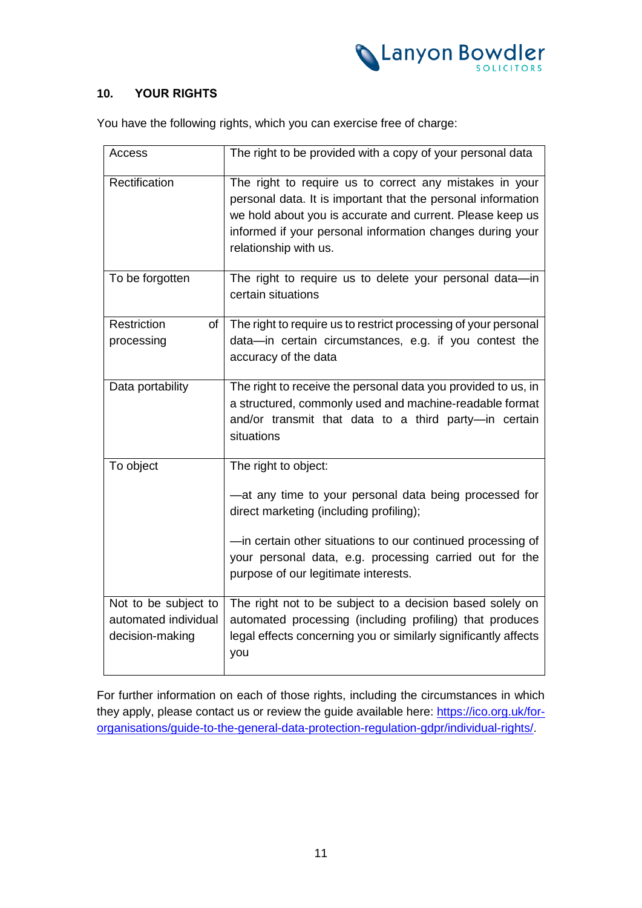

# **10. YOUR RIGHTS**

You have the following rights, which you can exercise free of charge:

| Access                                                          | The right to be provided with a copy of your personal data                                                                                                                                                                                                                                  |
|-----------------------------------------------------------------|---------------------------------------------------------------------------------------------------------------------------------------------------------------------------------------------------------------------------------------------------------------------------------------------|
| Rectification                                                   | The right to require us to correct any mistakes in your<br>personal data. It is important that the personal information<br>we hold about you is accurate and current. Please keep us<br>informed if your personal information changes during your<br>relationship with us.                  |
| To be forgotten                                                 | The right to require us to delete your personal data-in<br>certain situations                                                                                                                                                                                                               |
| Restriction<br>of<br>processing                                 | The right to require us to restrict processing of your personal<br>data-in certain circumstances, e.g. if you contest the<br>accuracy of the data                                                                                                                                           |
| Data portability                                                | The right to receive the personal data you provided to us, in<br>a structured, commonly used and machine-readable format<br>and/or transmit that data to a third party-in certain<br>situations                                                                                             |
| To object                                                       | The right to object:<br>-at any time to your personal data being processed for<br>direct marketing (including profiling);<br>-in certain other situations to our continued processing of<br>your personal data, e.g. processing carried out for the<br>purpose of our legitimate interests. |
| Not to be subject to<br>automated individual<br>decision-making | The right not to be subject to a decision based solely on<br>automated processing (including profiling) that produces<br>legal effects concerning you or similarly significantly affects<br>you                                                                                             |

For further information on each of those rights, including the circumstances in which they apply, please contact us or review the guide available here: https://ico.org.uk/fororganisations/guide-to-the-general-data-protection-regulation-gdpr/individual-rights/.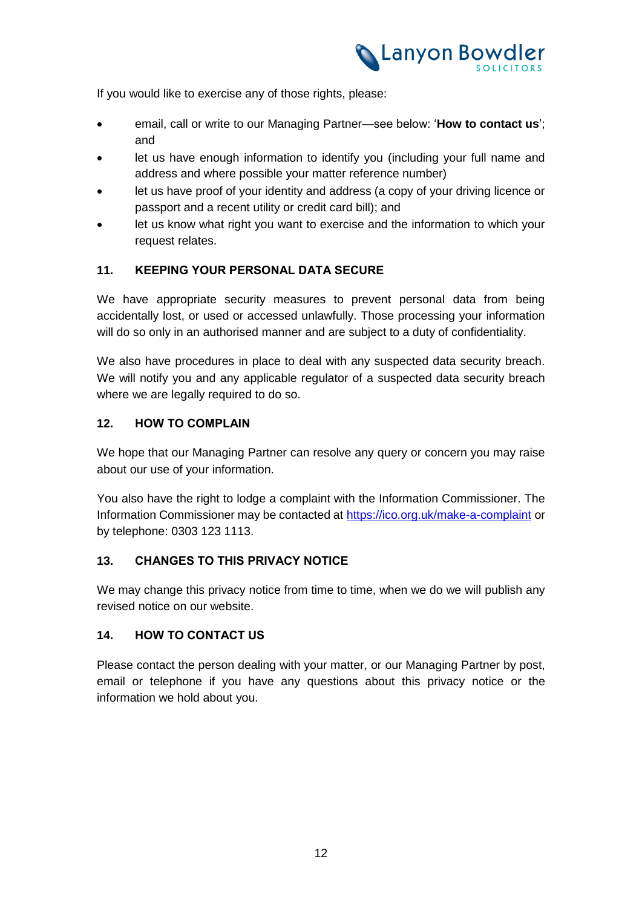

If you would like to exercise any of those rights, please:

- email, call or write to our Managing Partner—see below: '**How to contact us**'; and
- let us have enough information to identify you (including your full name and address and where possible your matter reference number)
- let us have proof of your identity and address (a copy of your driving licence or passport and a recent utility or credit card bill); and
- let us know what right you want to exercise and the information to which your request relates.

### **11. KEEPING YOUR PERSONAL DATA SECURE**

We have appropriate security measures to prevent personal data from being accidentally lost, or used or accessed unlawfully. Those processing your information will do so only in an authorised manner and are subject to a duty of confidentiality.

We also have procedures in place to deal with any suspected data security breach. We will notify you and any applicable regulator of a suspected data security breach where we are legally required to do so.

### **12. HOW TO COMPLAIN**

We hope that our Managing Partner can resolve any query or concern you may raise about our use of your information.

You also have the right to lodge a complaint with the Information Commissioner. The Information Commissioner may be contacted at [https://ico.org.uk/make-a-complaint](https://ico.org.uk/make-a-complaint/) or by telephone: 0303 123 1113.

### **13. CHANGES TO THIS PRIVACY NOTICE**

We may change this privacy notice from time to time, when we do we will publish any revised notice on our website.

### **14. HOW TO CONTACT US**

Please contact the person dealing with your matter, or our Managing Partner by post, email or telephone if you have any questions about this privacy notice or the information we hold about you.